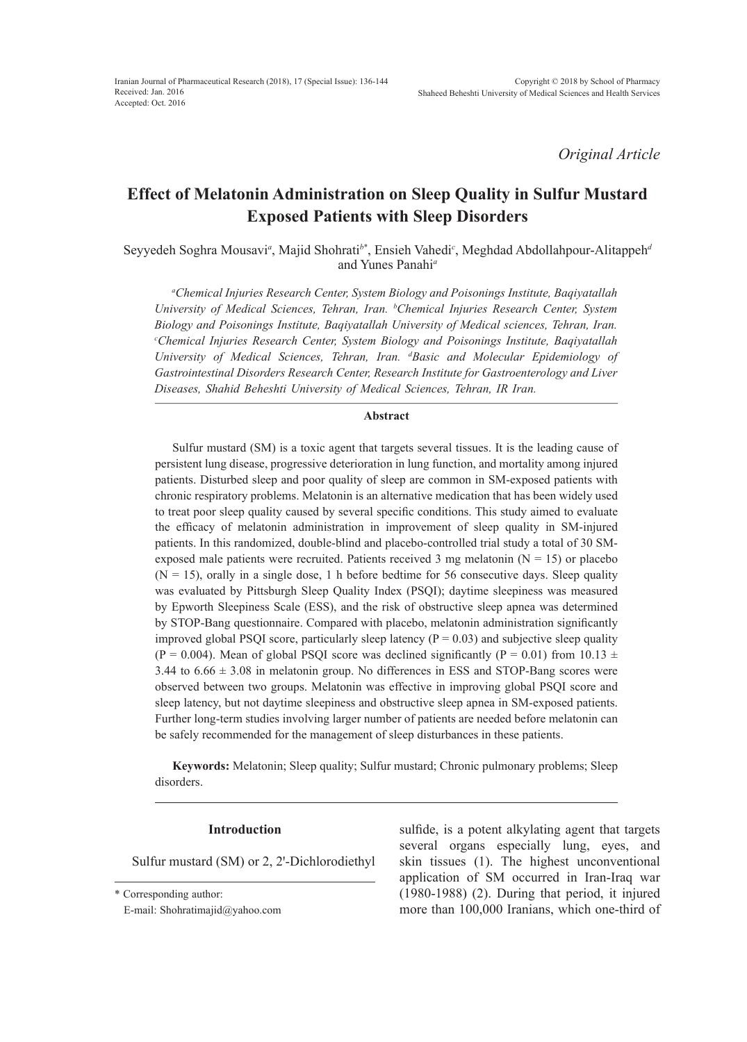*Original Article*

# **Effect of Melatonin Administration on Sleep Quality in Sulfur Mustard Exposed Patients with Sleep Disorders**

Seyyedeh Soghra Mousavi*<sup>a</sup>* , Majid Shohrati*<sup>b</sup>*\* , Ensieh Vahedi*<sup>c</sup>* , Meghdad Abdollahpour-Alitappeh*<sup>d</sup>* and Yunes Panahi*<sup>a</sup>*

*a Chemical Injuries Research Center, System Biology and Poisonings Institute, Baqiyatallah University of Medical Sciences, Tehran, Iran. b Chemical Injuries Research Center, System Biology and Poisonings Institute, Baqiyatallah University of Medical sciences, Tehran, Iran. c Chemical Injuries Research Center, System Biology and Poisonings Institute, Baqiyatallah University of Medical Sciences, Tehran, Iran. d Basic and Molecular Epidemiology of Gastrointestinal Disorders Research Center, Research Institute for Gastroenterology and Liver Diseases, Shahid Beheshti University of Medical Sciences, Tehran, IR Iran.*

#### **Abstract**

Sulfur mustard (SM) is a toxic agent that targets several tissues. It is the leading cause of persistent lung disease, progressive deterioration in lung function, and mortality among injured patients. Disturbed sleep and poor quality of sleep are common in SM-exposed patients with chronic respiratory problems. Melatonin is an alternative medication that has been widely used to treat poor sleep quality caused by several specific conditions. This study aimed to evaluate the efficacy of melatonin administration in improvement of sleep quality in SM-injured patients. In this randomized, double-blind and placebo-controlled trial study a total of 30 SMexposed male patients were recruited. Patients received 3 mg melatonin ( $N = 15$ ) or placebo  $(N = 15)$ , orally in a single dose, 1 h before bedtime for 56 consecutive days. Sleep quality was evaluated by Pittsburgh Sleep Quality Index (PSQI); daytime sleepiness was measured by Epworth Sleepiness Scale (ESS), and the risk of obstructive sleep apnea was determined by STOP-Bang questionnaire. Compared with placebo, melatonin administration significantly improved global PSQI score, particularly sleep latency ( $P = 0.03$ ) and subjective sleep quality (P = 0.004). Mean of global PSQI score was declined significantly (P = 0.01) from 10.13  $\pm$ 3.44 to  $6.66 \pm 3.08$  in melatonin group. No differences in ESS and STOP-Bang scores were observed between two groups. Melatonin was effective in improving global PSQI score and sleep latency, but not daytime sleepiness and obstructive sleep apnea in SM-exposed patients. Further long-term studies involving larger number of patients are needed before melatonin can be safely recommended for the management of sleep disturbances in these patients.

**Keywords:** Melatonin; Sleep quality; Sulfur mustard; Chronic pulmonary problems; Sleep disorders.

## **Introduction**

Sulfur mustard (SM) or 2, 2'-Dichlorodiethyl

E-mail: Shohratimajid@yahoo.com

sulfide, is a potent alkylating agent that targets several organs especially lung, eyes, and skin tissues (1). The highest unconventional application of SM occurred in Iran-Iraq war (1980-1988) (2). During that period, it injured more than 100,000 Iranians, which one-third of

<sup>\*</sup> Corresponding author: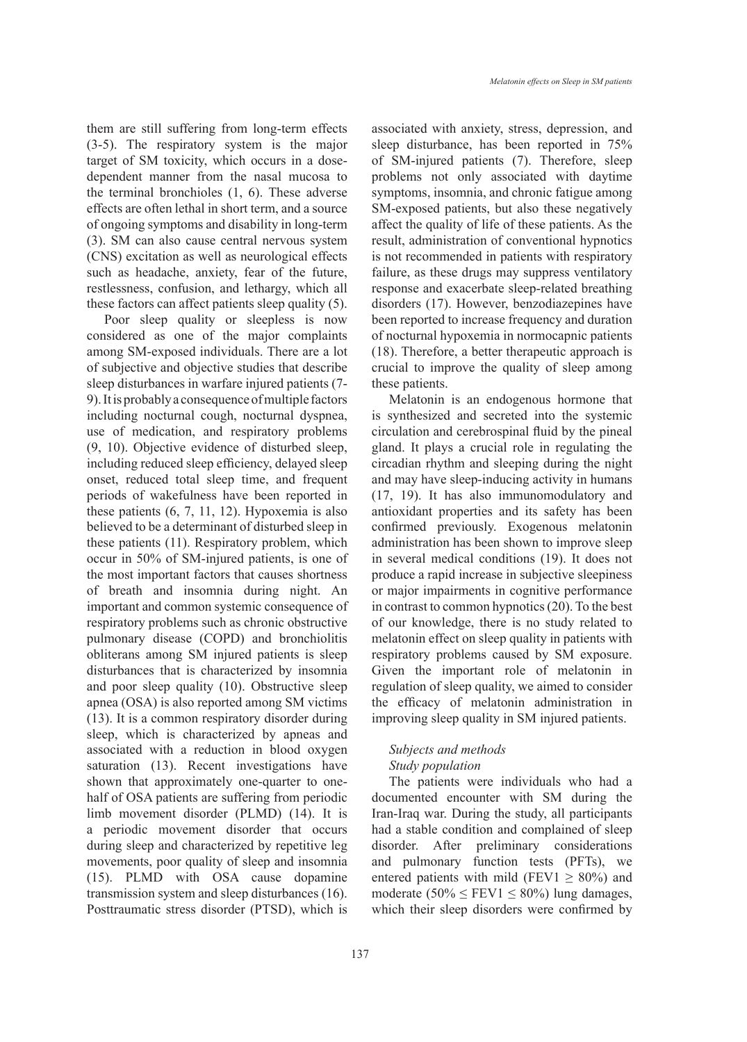them are still suffering from long-term effects (3-5). The respiratory system is the major target of SM toxicity, which occurs in a dosedependent manner from the nasal mucosa to the terminal bronchioles (1, 6). These adverse effects are often lethal in short term, and a source of ongoing symptoms and disability in long-term (3). SM can also cause central nervous system (CNS) excitation as well as neurological effects such as headache, anxiety, fear of the future, restlessness, confusion, and lethargy, which all these factors can affect patients sleep quality (5).

Poor sleep quality or sleepless is now considered as one of the major complaints among SM-exposed individuals. There are a lot of subjective and objective studies that describe sleep disturbances in warfare injured patients (7- 9). It is probably a consequence of multiple factors including nocturnal cough, nocturnal dyspnea, use of medication, and respiratory problems (9, 10). Objective evidence of disturbed sleep, including reduced sleep efficiency, delayed sleep onset, reduced total sleep time, and frequent periods of wakefulness have been reported in these patients (6, 7, 11, 12). Hypoxemia is also believed to be a determinant of disturbed sleep in these patients (11). Respiratory problem, which occur in 50% of SM-injured patients, is one of the most important factors that causes shortness of breath and insomnia during night. An important and common systemic consequence of respiratory problems such as chronic obstructive pulmonary disease (COPD) and bronchiolitis obliterans among SM injured patients is sleep disturbances that is characterized by insomnia and poor sleep quality (10). Obstructive sleep apnea (OSA) is also reported among SM victims (13). It is a common respiratory disorder during sleep, which is characterized by apneas and associated with a reduction in blood oxygen saturation (13). Recent investigations have shown that approximately one-quarter to onehalf of OSA patients are suffering from periodic limb movement disorder (PLMD) (14). It is a periodic movement disorder that occurs during sleep and characterized by repetitive leg movements, poor quality of sleep and insomnia (15). PLMD with OSA cause dopamine transmission system and sleep disturbances (16). Posttraumatic stress disorder (PTSD), which is

associated with anxiety, stress, depression, and sleep disturbance, has been reported in 75% of SM-injured patients (7). Therefore, sleep problems not only associated with daytime symptoms, insomnia, and chronic fatigue among SM-exposed patients, but also these negatively affect the quality of life of these patients. As the result, administration of conventional hypnotics is not recommended in patients with respiratory failure, as these drugs may suppress ventilatory response and exacerbate sleep-related breathing disorders (17). However, benzodiazepines have been reported to increase frequency and duration of nocturnal hypoxemia in normocapnic patients (18). Therefore, a better therapeutic approach is crucial to improve the quality of sleep among these patients.

Melatonin is an endogenous hormone that is synthesized and secreted into the systemic circulation and cerebrospinal fluid by the pineal gland. It plays a crucial role in regulating the circadian rhythm and sleeping during the night and may have sleep-inducing activity in humans (17, 19). It has also immunomodulatory and antioxidant properties and its safety has been confirmed previously. Exogenous melatonin administration has been shown to improve sleep in several medical conditions (19). It does not produce a rapid increase in subjective sleepiness or major impairments in cognitive performance in contrast to common hypnotics (20). To the best of our knowledge, there is no study related to melatonin effect on sleep quality in patients with respiratory problems caused by SM exposure. Given the important role of melatonin in regulation of sleep quality, we aimed to consider the efficacy of melatonin administration in improving sleep quality in SM injured patients.

## *Subjects and methods Study population*

The patients were individuals who had a documented encounter with SM during the Iran-Iraq war. During the study, all participants had a stable condition and complained of sleep disorder. After preliminary considerations and pulmonary function tests (PFTs), we entered patients with mild (FEV1  $\geq$  80%) and moderate (50%  $\le$  FEV1  $\le$  80%) lung damages, which their sleep disorders were confirmed by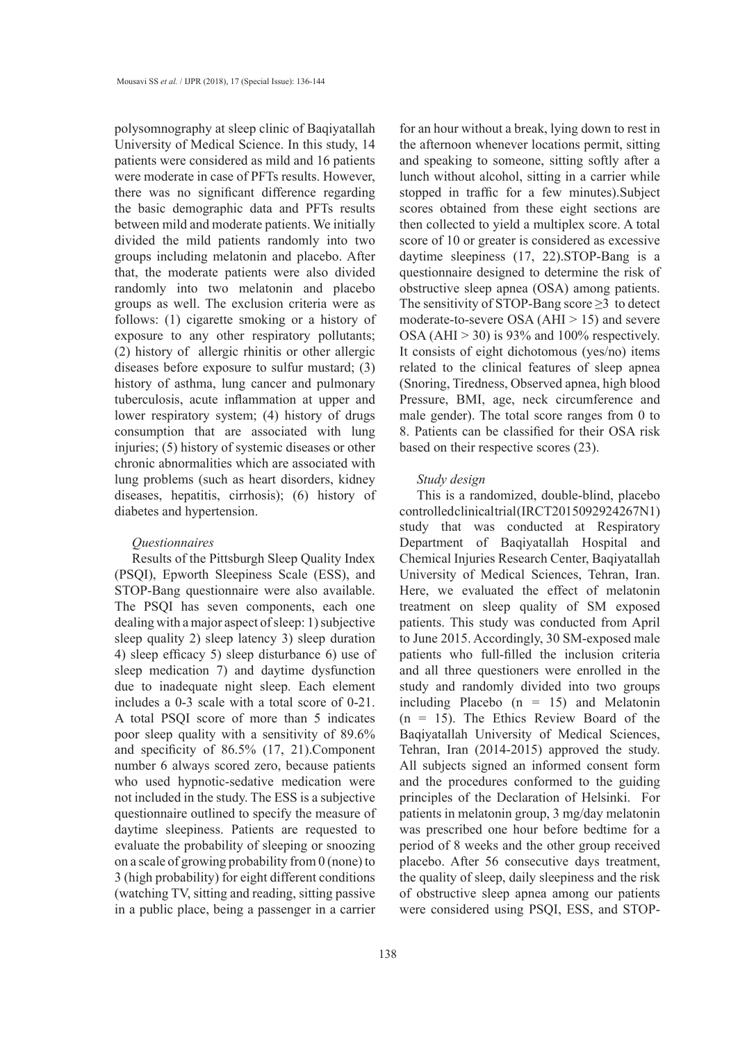polysomnography at sleep clinic of Baqiyatallah University of Medical Science. In this study, 14 patients were considered as mild and 16 patients were moderate in case of PFTs results. However, there was no significant difference regarding the basic demographic data and PFTs results between mild and moderate patients. We initially divided the mild patients randomly into two groups including melatonin and placebo. After that, the moderate patients were also divided randomly into two melatonin and placebo groups as well. The exclusion criteria were as follows: (1) cigarette smoking or a history of exposure to any other respiratory pollutants; (2) history of allergic rhinitis or other allergic diseases before exposure to sulfur mustard; (3) history of asthma, lung cancer and pulmonary tuberculosis, acute inflammation at upper and lower respiratory system; (4) history of drugs consumption that are associated with lung injuries; (5) history of systemic diseases or other chronic abnormalities which are associated with lung problems (such as heart disorders, kidney diseases, hepatitis, cirrhosis); (6) history of diabetes and hypertension.

## *Questionnaires*

Results of the Pittsburgh Sleep Quality Index (PSQI), Epworth Sleepiness Scale (ESS), and STOP-Bang questionnaire were also available. The PSQI has seven components, each one dealing with a major aspect of sleep: 1) subjective sleep quality 2) sleep latency 3) sleep duration 4) sleep efficacy 5) sleep disturbance 6) use of sleep medication 7) and daytime dysfunction due to inadequate night sleep. Each element includes a 0-3 scale with a total score of 0-21. A total PSQI score of more than 5 indicates poor sleep quality with a sensitivity of 89.6% and specificity of 86.5% (17, 21).Component number 6 always scored zero, because patients who used hypnotic-sedative medication were not included in the study. The ESS is a subjective questionnaire outlined to specify the measure of daytime sleepiness. Patients are requested to evaluate the probability of sleeping or snoozing on a scale of growing probability from 0 (none) to 3 (high probability) for eight different conditions (watching TV, sitting and reading, sitting passive in a public place, being a passenger in a carrier

for an hour without a break, lying down to rest in the afternoon whenever locations permit, sitting and speaking to someone, sitting softly after a lunch without alcohol, sitting in a carrier while stopped in traffic for a few minutes).Subject scores obtained from these eight sections are then collected to yield a multiplex score. A total score of 10 or greater is considered as excessive daytime sleepiness (17, 22).STOP-Bang is a questionnaire designed to determine the risk of obstructive sleep apnea (OSA) among patients. The sensitivity of STOP-Bang score  $\geq$ 3 to detect moderate-to-severe OSA (AHI > 15) and severe OSA (AHI  $> 30$ ) is 93% and 100% respectively. It consists of eight dichotomous (yes/no) items related to the clinical features of sleep apnea (Snoring, Tiredness, Observed apnea, high blood Pressure, BMI, age, neck circumference and male gender). The total score ranges from 0 to 8. Patients can be classified for their OSA risk based on their respective scores (23).

## *Study design*

This is a randomized, double-blind, placebo controlled clinical trial (IRCT2015092924267N1) study that was conducted at Respiratory Department of Baqiyatallah Hospital and Chemical Injuries Research Center, Baqiyatallah University of Medical Sciences, Tehran, Iran. Here, we evaluated the effect of melatonin treatment on sleep quality of SM exposed patients. This study was conducted from April to June 2015. Accordingly, 30 SM-exposed male patients who full-filled the inclusion criteria and all three questioners were enrolled in the study and randomly divided into two groups including Placebo  $(n = 15)$  and Melatonin  $(n = 15)$ . The Ethics Review Board of the Baqiyatallah University of Medical Sciences, Tehran, Iran (2014-2015) approved the study. All subjects signed an informed consent form and the procedures conformed to the guiding principles of the Declaration of Helsinki. For patients in melatonin group, 3 mg/day melatonin was prescribed one hour before bedtime for a period of 8 weeks and the other group received placebo. After 56 consecutive days treatment, the quality of sleep, daily sleepiness and the risk of obstructive sleep apnea among our patients were considered using PSQI, ESS, and STOP-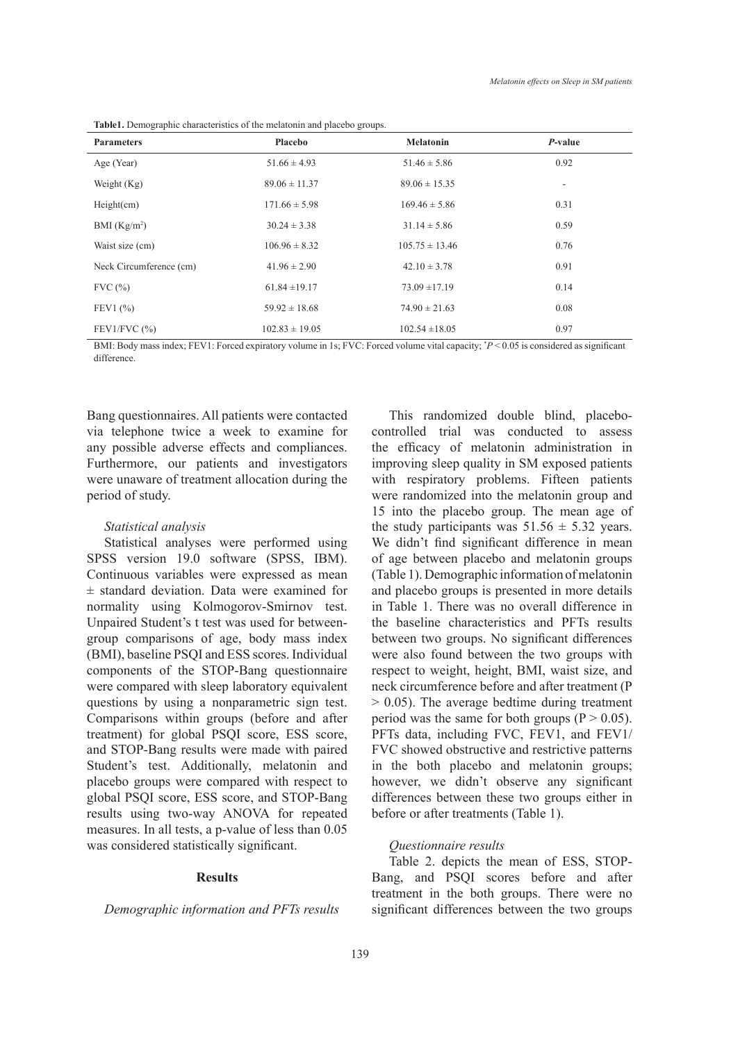| <b>Parameters</b>       | Placebo            | <b>Melatonin</b>   | $P$ -value |
|-------------------------|--------------------|--------------------|------------|
| Age (Year)              | $51.66 \pm 4.93$   | $51.46 \pm 5.86$   | 0.92       |
| Weight $(Kg)$           | $89.06 \pm 11.37$  | $89.06 \pm 15.35$  | $\sim$     |
| Height(cm)              | $171.66 \pm 5.98$  | $169.46 \pm 5.86$  | 0.31       |
| BMI $(Kg/m2)$           | $30.24 \pm 3.38$   | $31.14 \pm 5.86$   | 0.59       |
| Waist size (cm)         | $106.96 \pm 8.32$  | $105.75 \pm 13.46$ | 0.76       |
| Neck Circumference (cm) | $41.96 \pm 2.90$   | $42.10 \pm 3.78$   | 0.91       |
| FVC(%)                  | $61.84 \pm 19.17$  | $73.09 \pm 17.19$  | 0.14       |
| FEV1(%)                 | $59.92 \pm 18.68$  | $74.90 \pm 21.63$  | 0.08       |
| FEV1/FVC $(% )$         | $102.83 \pm 19.05$ | $102.54 \pm 18.05$ | 0.97       |

**Table1.** Demographic characteristics of the melatonin and placebo groups.

BMI: Body mass index; FEV1: Forced expiratory volume in 1s; FVC: Forced volume vital capacity; \* *P* < 0.05 is considered as significant difference.

Bang questionnaires. All patients were contacted via telephone twice a week to examine for any possible adverse effects and compliances. Furthermore, our patients and investigators were unaware of treatment allocation during the period of study.

## *Statistical analysis*

Statistical analyses were performed using SPSS version 19.0 software (SPSS, IBM). Continuous variables were expressed as mean ± standard deviation. Data were examined for normality using Kolmogorov-Smirnov test. Unpaired Student's t test was used for betweengroup comparisons of age, body mass index (BMI), baseline PSQI and ESS scores. Individual components of the STOP-Bang questionnaire were compared with sleep laboratory equivalent questions by using a nonparametric sign test. Comparisons within groups (before and after treatment) for global PSQI score, ESS score, and STOP-Bang results were made with paired Student's test. Additionally, melatonin and placebo groups were compared with respect to global PSQI score, ESS score, and STOP-Bang results using two-way ANOVA for repeated measures. In all tests, a p-value of less than 0.05 was considered statistically significant.

#### **Results**

*Demographic information and PFTs results* 

This randomized double blind, placebocontrolled trial was conducted to assess the efficacy of melatonin administration in improving sleep quality in SM exposed patients with respiratory problems. Fifteen patients were randomized into the melatonin group and 15 into the placebo group. The mean age of the study participants was  $51.56 \pm 5.32$  years. We didn't find significant difference in mean of age between placebo and melatonin groups (Table 1). Demographic information of melatonin and placebo groups is presented in more details in Table 1. There was no overall difference in the baseline characteristics and PFTs results between two groups. No significant differences were also found between the two groups with respect to weight, height, BMI, waist size, and neck circumference before and after treatment (P  $> 0.05$ ). The average bedtime during treatment period was the same for both groups ( $P > 0.05$ ). PFTs data, including FVC, FEV1, and FEV1/ FVC showed obstructive and restrictive patterns in the both placebo and melatonin groups; however, we didn't observe any significant differences between these two groups either in before or after treatments (Table 1).

## *Questionnaire results*

Table 2. depicts the mean of ESS, STOP-Bang, and PSQI scores before and after treatment in the both groups. There were no significant differences between the two groups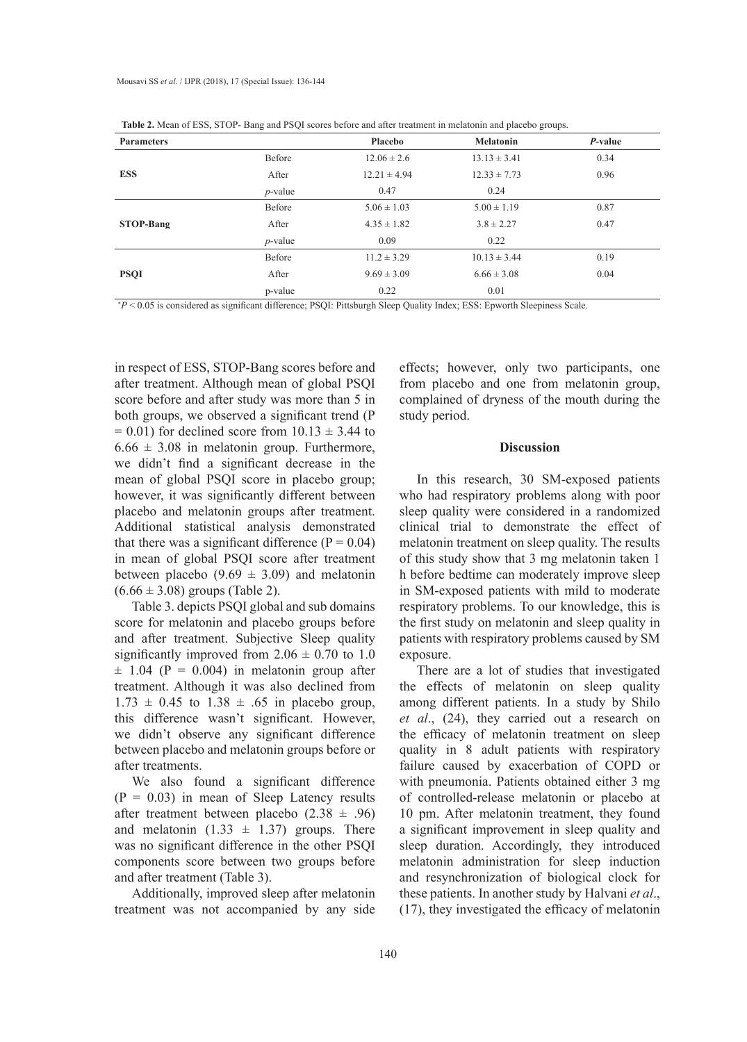| <b>Parameters</b> |            | <b>Placebo</b>   | <b>Melatonin</b> | P-value |
|-------------------|------------|------------------|------------------|---------|
|                   | Before     | $12.06 \pm 2.6$  | $13.13 \pm 3.41$ | 0.34    |
| <b>ESS</b>        | After      | $12.21 \pm 4.94$ | $12.33 \pm 7.73$ | 0.96    |
|                   | $p$ -value | 0.47             | 0.24             |         |
|                   | Before     | $5.06 \pm 1.03$  | $5.00 \pm 1.19$  | 0.87    |
| <b>STOP-Bang</b>  | After      | $4.35 \pm 1.82$  | $3.8 \pm 2.27$   | 0.47    |
|                   | $p$ -value | 0.09             | 0.22             |         |
| <b>PSQI</b>       | Before     | $11.2 \pm 3.29$  | $10.13 \pm 3.44$ | 0.19    |
|                   | After      | $9.69 \pm 3.09$  | $6.66 \pm 3.08$  | 0.04    |
|                   | p-value    | 0.22             | 0.01             |         |

\* *P* < 0.05 is considered as significant difference; PSQI: Pittsburgh Sleep Quality Index; ESS: Epworth Sleepiness Scale.

in respect of ESS, STOP-Bang scores before and after treatment. Although mean of global PSQI score before and after study was more than 5 in both groups, we observed a significant trend (P  $= 0.01$ ) for declined score from  $10.13 \pm 3.44$  to  $6.66 \pm 3.08$  in melatonin group. Furthermore, we didn't find a significant decrease in the mean of global PSQI score in placebo group; however, it was significantly different between placebo and melatonin groups after treatment. Additional statistical analysis demonstrated that there was a significant difference  $(P = 0.04)$ in mean of global PSQI score after treatment between placebo (9.69  $\pm$  3.09) and melatonin  $(6.66 \pm 3.08)$  groups (Table 2).

Table 3. depicts PSQI global and sub domains score for melatonin and placebo groups before and after treatment. Subjective Sleep quality significantly improved from  $2.06 \pm 0.70$  to 1.0  $\pm$  1.04 (P = 0.004) in melatonin group after treatment. Although it was also declined from  $1.73 \pm 0.45$  to  $1.38 \pm .65$  in placebo group, this difference wasn't significant. However, we didn't observe any significant difference between placebo and melatonin groups before or after treatments.

We also found a significant difference  $(P = 0.03)$  in mean of Sleep Latency results after treatment between placebo  $(2.38 \pm .96)$ and melatonin  $(1.33 \pm 1.37)$  groups. There was no significant difference in the other PSQI components score between two groups before and after treatment (Table 3).

Additionally, improved sleep after melatonin treatment was not accompanied by any side

effects; however, only two participants, one from placebo and one from melatonin group, complained of dryness of the mouth during the study period.

#### **Discussion**

In this research, 30 SM-exposed patients who had respiratory problems along with poor sleep quality were considered in a randomized clinical trial to demonstrate the effect of melatonin treatment on sleep quality. The results of this study show that 3 mg melatonin taken 1 h before bedtime can moderately improve sleep in SM-exposed patients with mild to moderate respiratory problems. To our knowledge, this is the first study on melatonin and sleep quality in patients with respiratory problems caused by SM exposure.

There are a lot of studies that investigated the effects of melatonin on sleep quality among different patients. In a study by Shilo *et al*., (24), they carried out a research on the efficacy of melatonin treatment on sleep quality in 8 adult patients with respiratory failure caused by exacerbation of COPD or with pneumonia. Patients obtained either 3 mg of controlled-release melatonin or placebo at 10 pm. After melatonin treatment, they found a significant improvement in sleep quality and sleep duration. Accordingly, they introduced melatonin administration for sleep induction and resynchronization of biological clock for these patients. In another study by Halvani *et al*., (17), they investigated the efficacy of melatonin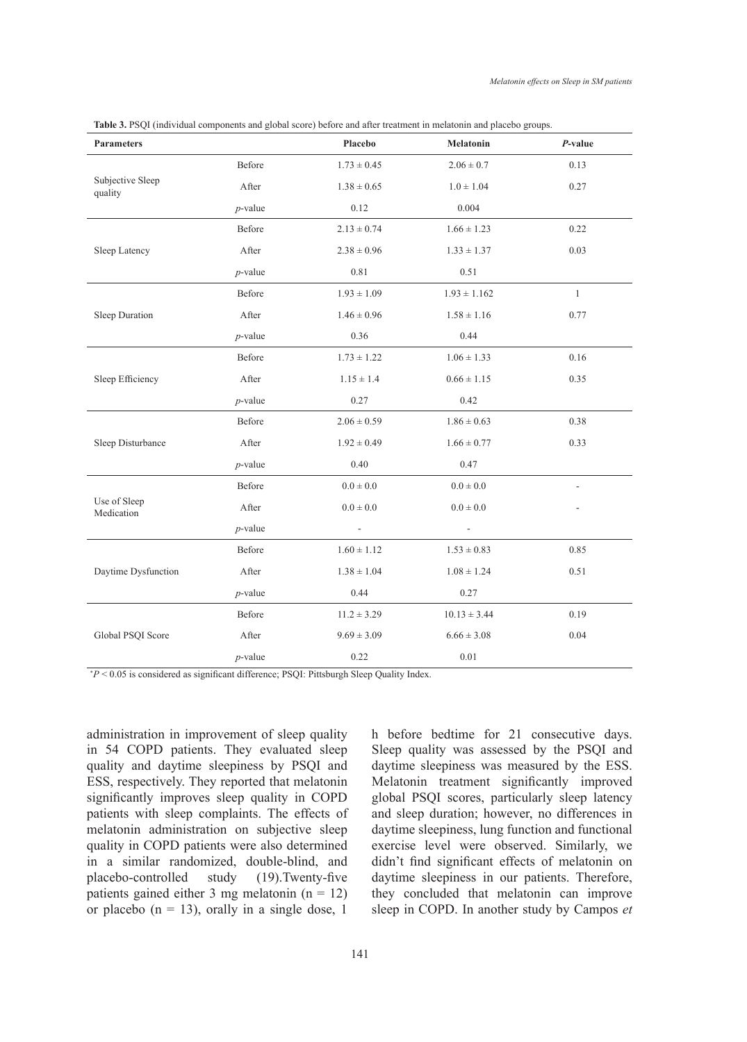| <b>Parameters</b>           |            | Placebo                  | Melatonin        | $P$ -value   |
|-----------------------------|------------|--------------------------|------------------|--------------|
| Subjective Sleep<br>quality | Before     | $1.73 \pm 0.45$          | $2.06 \pm 0.7$   | 0.13         |
|                             | After      | $1.38 \pm 0.65$          | $1.0 \pm 1.04$   | 0.27         |
|                             | $p$ -value | 0.12                     | 0.004            |              |
| Sleep Latency               | Before     | $2.13 \pm 0.74$          | $1.66 \pm 1.23$  | 0.22         |
|                             | After      | $2.38 \pm 0.96$          | $1.33 \pm 1.37$  | 0.03         |
|                             | $p$ -value | 0.81                     | 0.51             |              |
| Sleep Duration              | Before     | $1.93 \pm 1.09$          | $1.93 \pm 1.162$ | $\mathbf{1}$ |
|                             | After      | $1.46 \pm 0.96$          | $1.58 \pm 1.16$  | 0.77         |
|                             | $p$ -value | 0.36                     | 0.44             |              |
| Sleep Efficiency            | Before     | $1.73 \pm 1.22$          | $1.06 \pm 1.33$  | 0.16         |
|                             | After      | $1.15 \pm 1.4$           | $0.66 \pm 1.15$  | 0.35         |
|                             | $p$ -value | 0.27                     | 0.42             |              |
| Sleep Disturbance           | Before     | $2.06 \pm 0.59$          | $1.86 \pm 0.63$  | 0.38         |
|                             | After      | $1.92 \pm 0.49$          | $1.66 \pm 0.77$  | 0.33         |
|                             | $p$ -value | 0.40                     | 0.47             |              |
| Use of Sleep<br>Medication  | Before     | $0.0 \pm 0.0$            | $0.0\pm0.0$      |              |
|                             | After      | $0.0 \pm 0.0$            | $0.0\pm0.0$      |              |
|                             | $p$ -value | $\overline{\phantom{a}}$ |                  |              |
| Daytime Dysfunction         | Before     | $1.60 \pm 1.12$          | $1.53 \pm 0.83$  | 0.85         |
|                             | After      | $1.38 \pm 1.04$          | $1.08 \pm 1.24$  | 0.51         |
|                             | $p$ -value | 0.44                     | 0.27             |              |
| Global PSQI Score           | Before     | $11.2 \pm 3.29$          | $10.13 \pm 3.44$ | 0.19         |
|                             | After      | $9.69 \pm 3.09$          | $6.66 \pm 3.08$  | 0.04         |
|                             | $p$ -value | 0.22                     | 0.01             |              |

**Table 3.** PSQI (individual components and global score) before and after treatment in melatonin and placebo groups.

\* *P* < 0.05 is considered as significant difference; PSQI: Pittsburgh Sleep Quality Index.

administration in improvement of sleep quality in 54 COPD patients. They evaluated sleep quality and daytime sleepiness by PSQI and ESS, respectively. They reported that melatonin significantly improves sleep quality in COPD patients with sleep complaints. The effects of melatonin administration on subjective sleep quality in COPD patients were also determined in a similar randomized, double-blind, and placebo-controlled study (19).Twenty-five patients gained either 3 mg melatonin  $(n = 12)$ or placebo ( $n = 13$ ), orally in a single dose, 1

h before bedtime for 21 consecutive days. Sleep quality was assessed by the PSQI and daytime sleepiness was measured by the ESS. Melatonin treatment significantly improved global PSQI scores, particularly sleep latency and sleep duration; however, no differences in daytime sleepiness, lung function and functional exercise level were observed. Similarly, we didn't find significant effects of melatonin on daytime sleepiness in our patients. Therefore, they concluded that melatonin can improve sleep in COPD. In another study by Campos *et*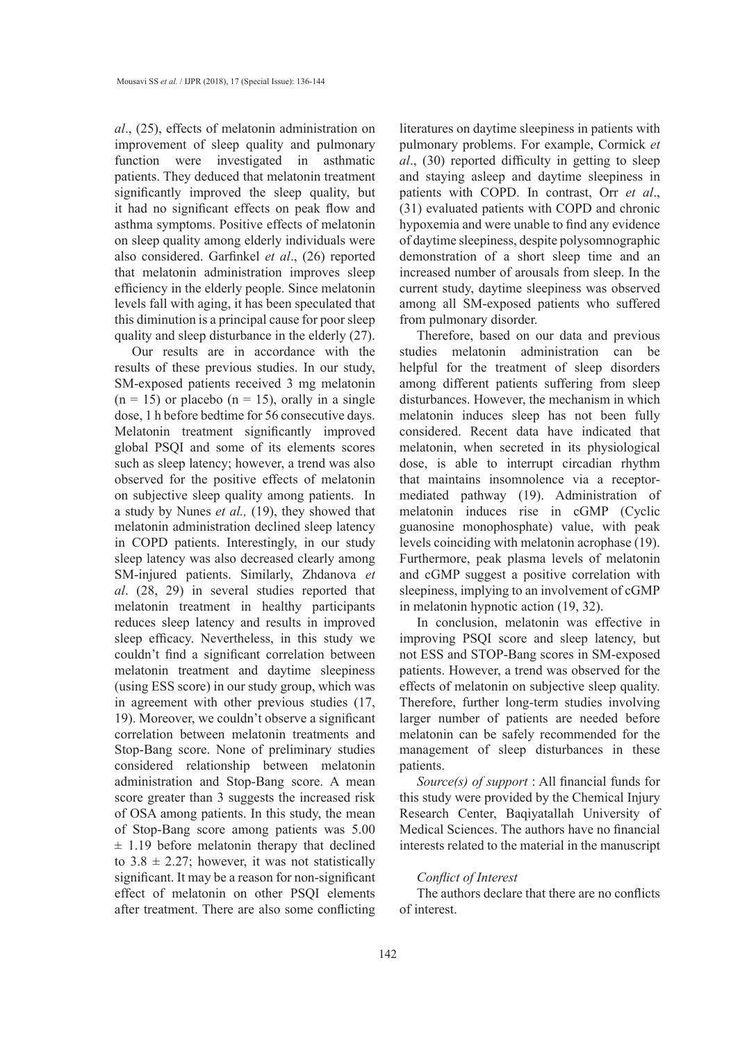*al*., (25), effects of melatonin administration on improvement of sleep quality and pulmonary function were investigated in asthmatic patients. They deduced that melatonin treatment significantly improved the sleep quality, but it had no significant effects on peak flow and asthma symptoms. Positive effects of melatonin on sleep quality among elderly individuals were also considered. Garfinkel *et al*., (26) reported that melatonin administration improves sleep efficiency in the elderly people. Since melatonin levels fall with aging, it has been speculated that this diminution is a principal cause for poor sleep quality and sleep disturbance in the elderly (27).

Our results are in accordance with the results of these previous studies. In our study, SM-exposed patients received 3 mg melatonin  $(n = 15)$  or placebo  $(n = 15)$ , orally in a single dose, 1 h before bedtime for 56 consecutive days. Melatonin treatment significantly improved global PSQI and some of its elements scores such as sleep latency; however, a trend was also observed for the positive effects of melatonin on subjective sleep quality among patients. In a study by Nunes *et al.,* (19), they showed that melatonin administration declined sleep latency in COPD patients. Interestingly, in our study sleep latency was also decreased clearly among SM-injured patients. Similarly, Zhdanova *et al*. (28, 29) in several studies reported that melatonin treatment in healthy participants reduces sleep latency and results in improved sleep efficacy. Nevertheless, in this study we couldn't find a significant correlation between melatonin treatment and daytime sleepiness (using ESS score) in our study group, which was in agreement with other previous studies (17, 19). Moreover, we couldn't observe a significant correlation between melatonin treatments and Stop-Bang score. None of preliminary studies considered relationship between melatonin administration and Stop-Bang score. A mean score greater than 3 suggests the increased risk of OSA among patients. In this study, the mean of Stop-Bang score among patients was 5.00  $\pm$  1.19 before melatonin therapy that declined to  $3.8 \pm 2.27$ ; however, it was not statistically significant. It may be a reason for non-significant effect of melatonin on other PSQI elements after treatment. There are also some conflicting

literatures on daytime sleepiness in patients with pulmonary problems. For example, Cormick *et al*., (30) reported difficulty in getting to sleep and staying asleep and daytime sleepiness in patients with COPD. In contrast, Orr *et al*., (31) evaluated patients with COPD and chronic hypoxemia and were unable to find any evidence of daytime sleepiness, despite polysomnographic demonstration of a short sleep time and an increased number of arousals from sleep. In the current study, daytime sleepiness was observed among all SM-exposed patients who suffered from pulmonary disorder.

Therefore, based on our data and previous studies melatonin administration can be helpful for the treatment of sleep disorders among different patients suffering from sleep disturbances. However, the mechanism in which melatonin induces sleep has not been fully considered. Recent data have indicated that melatonin, when secreted in its physiological dose, is able to interrupt circadian rhythm that maintains insomnolence via a receptormediated pathway (19). Administration of melatonin induces rise in cGMP (Cyclic guanosine monophosphate) value, with peak levels coinciding with melatonin acrophase (19). Furthermore, peak plasma levels of melatonin and cGMP suggest a positive correlation with sleepiness, implying to an involvement of cGMP in melatonin hypnotic action (19, 32).

In conclusion, melatonin was effective in improving PSQI score and sleep latency, but not ESS and STOP-Bang scores in SM-exposed patients. However, a trend was observed for the effects of melatonin on subjective sleep quality. Therefore, further long-term studies involving larger number of patients are needed before melatonin can be safely recommended for the management of sleep disturbances in these patients.

*Source(s) of support* : All financial funds for this study were provided by the Chemical Injury Research Center, Baqiyatallah University of Medical Sciences. The authors have no financial interests related to the material in the manuscript

## *Conflict of Interest*

The authors declare that there are no conflicts of interest.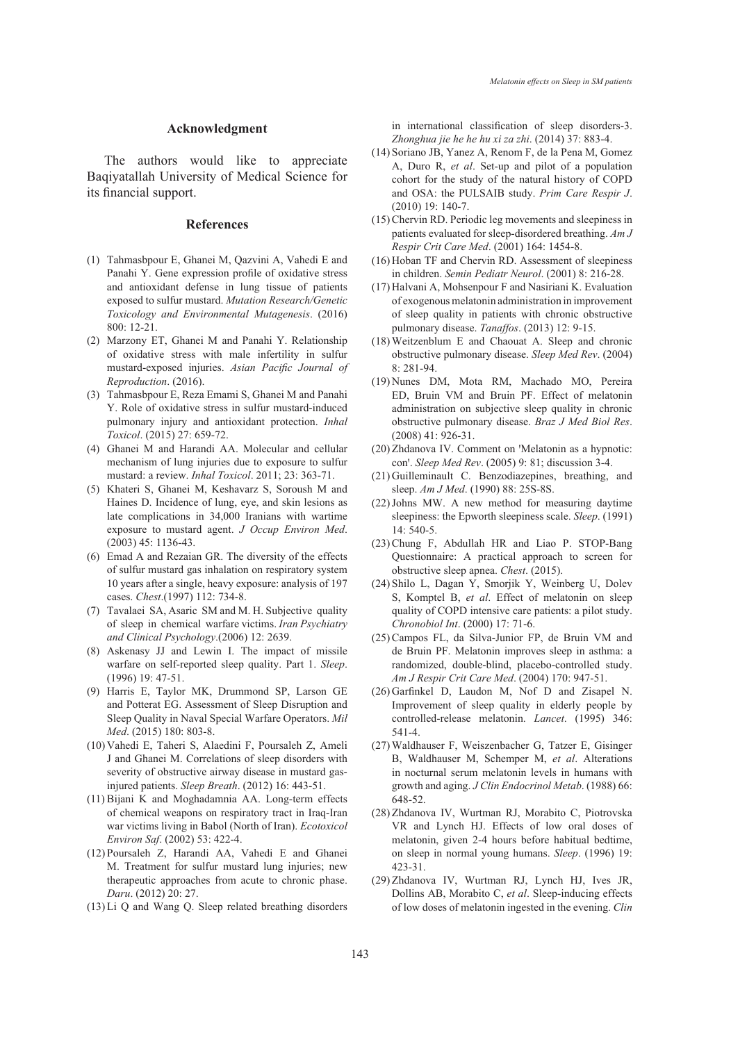#### **Acknowledgment**

The authors would like to appreciate Baqiyatallah University of Medical Science for its financial support.

#### **References**

- Tahmasbpour E, Ghanei M, Qazvini A, Vahedi E and (1) Panahi Y. Gene expression profile of oxidative stress and antioxidant defense in lung tissue of patients exposed to sulfur mustard. *Mutation Research/Genetic Toxicology and Environmental Mutagenesis*. (2016) 800: 12-21.
- Marzony ET, Ghanei M and Panahi Y. Relationship (2) of oxidative stress with male infertility in sulfur mustard-exposed injuries. *Asian Pacific Journal of Reproduction*. (2016).
- Tahmasbpour E, Reza Emami S, Ghanei M and Panahi (3) Y. Role of oxidative stress in sulfur mustard-induced pulmonary injury and antioxidant protection. *Inhal Toxicol*. (2015) 27: 659-72.
- Ghanei M and Harandi AA. Molecular and cellular (4) mechanism of lung injuries due to exposure to sulfur mustard: a review. *Inhal Toxicol*. 2011; 23: 363-71.
- (5) Khateri S, Ghanei M, Keshavarz S, Soroush M and Haines D. Incidence of lung, eye, and skin lesions as late complications in 34,000 Iranians with wartime exposure to mustard agent. *J Occup Environ Med*. (2003) 45: 1136-43.
- Emad A and Rezaian GR. The diversity of the effects (6) of sulfur mustard gas inhalation on respiratory system 10 years after a single, heavy exposure: analysis of 197 cases. *Chest*.(1997) 112: 734-8.
- (7) Tavalaei SA, Asaric SM and M. H. Subjective quality of sleep in chemical warfare victims. *Iran Psychiatry and Clinical Psychology*.(2006) 12: 2639.
- Askenasy JJ and Lewin I. The impact of missile (8) warfare on self-reported sleep quality. Part 1. *Sleep*. (1996) 19: 47-51.
- (9) Harris E, Taylor MK, Drummond SP, Larson GE and Potterat EG. Assessment of Sleep Disruption and Sleep Quality in Naval Special Warfare Operators. *Mil Med*. (2015) 180: 803-8.
- Vahedi E, Taheri S, Alaedini F, Poursaleh Z, Ameli (10) J and Ghanei M. Correlations of sleep disorders with severity of obstructive airway disease in mustard gasinjured patients. *Sleep Breath*. (2012) 16: 443-51.
- $(11)$  Bijani K and Moghadamnia AA. Long-term effects of chemical weapons on respiratory tract in Iraq-Iran war victims living in Babol (North of Iran). *Ecotoxicol Environ Saf*. (2002) 53: 422-4.
- (12) Poursaleh Z, Harandi AA, Vahedi E and Ghanei M. Treatment for sulfur mustard lung injuries; new therapeutic approaches from acute to chronic phase. *Daru*. (2012) 20: 27.
- $(13)$  Li Q and Wang Q. Sleep related breathing disorders

in international classification of sleep disorders-3. *Zhonghua jie he he hu xi za zhi*. (2014) 37: 883-4.

- (14) Soriano JB, Yanez A, Renom F, de la Pena M, Gomez A, Duro R, *et al*. Set-up and pilot of a population cohort for the study of the natural history of COPD and OSA: the PULSAIB study. *Prim Care Respir J*. (2010) 19: 140-7.
- (15) Chervin RD. Periodic leg movements and sleepiness in patients evaluated for sleep-disordered breathing. *Am J Respir Crit Care Med*. (2001) 164: 1454-8.
- (16) Hoban TF and Chervin RD. Assessment of sleepiness in children. *Semin Pediatr Neurol*. (2001) 8: 216-28.
- $(17)$  Halvani A, Mohsenpour F and Nasiriani K. Evaluation of exogenous melatonin administration in improvement of sleep quality in patients with chronic obstructive pulmonary disease. *Tanaffos*. (2013) 12: 9-15.
- Weitzenblum E and Chaouat A. Sleep and chronic (18) obstructive pulmonary disease. *Sleep Med Rev*. (2004) 8: 281-94.
- (19) Nunes DM, Mota RM, Machado MO, Pereira ED, Bruin VM and Bruin PF. Effect of melatonin administration on subjective sleep quality in chronic obstructive pulmonary disease. *Braz J Med Biol Res*. (2008) 41: 926-31.
- (20) Zhdanova IV. Comment on 'Melatonin as a hypnotic: con'. *Sleep Med Rev.* (2005) 9: 81; discussion 3-4.
- (21) Guilleminault C. Benzodiazepines, breathing, and sleep. *Am J Med*. (1990) 88: 25S-8S.
- $(22)$  Johns MW. A new method for measuring daytime sleepiness: the Epworth sleepiness scale. *Sleep*. (1991) 14: 540-5.
- (23) Chung F, Abdullah HR and Liao P. STOP-Bang Questionnaire: A practical approach to screen for obstructive sleep apnea. *Chest*. (2015).
- (24) Shilo L, Dagan Y, Smorjik Y, Weinberg U, Dolev S, Komptel B, *et al*. Effect of melatonin on sleep quality of COPD intensive care patients: a pilot study. *Chronobiol Int*. (2000) 17: 71-6.
- (25) Campos FL, da Silva-Junior FP, de Bruin VM and de Bruin PF. Melatonin improves sleep in asthma: a randomized, double-blind, placebo-controlled study. *Am J Respir Crit Care Med*. (2004) 170: 947-51.
- $(26)$  Garfinkel D, Laudon M, Nof D and Zisapel N. Improvement of sleep quality in elderly people by controlled-release melatonin. *Lancet*. (1995) 346: 541-4.
- Waldhauser F, Weiszenbacher G, Tatzer E, Gisinger (27) B, Waldhauser M, Schemper M, *et al*. Alterations in nocturnal serum melatonin levels in humans with growth and aging. *J Clin Endocrinol Metab*. (1988) 66: 648-52.
- (28) Zhdanova IV, Wurtman RJ, Morabito C, Piotrovska VR and Lynch HJ. Effects of low oral doses of melatonin, given 2-4 hours before habitual bedtime, on sleep in normal young humans. *Sleep*. (1996) 19: 423-31.
- (29) Zhdanova IV, Wurtman RJ, Lynch HJ, Ives JR, Dollins AB, Morabito C, *et al*. Sleep-inducing effects of low doses of melatonin ingested in the evening. *Clin*